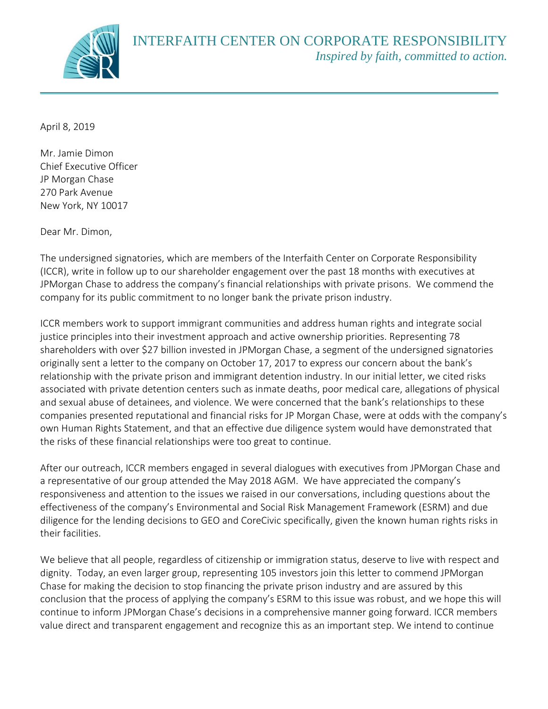

April 8, 2019

Mr. Jamie Dimon Chief Executive Officer JP Morgan Chase 270 Park Avenue New York, NY 10017

Dear Mr. Dimon,

The undersigned signatories, which are members of the Interfaith Center on Corporate Responsibility (ICCR), write in follow up to our shareholder engagement over the past 18 months with executives at JPMorgan Chase to address the company's financial relationships with private prisons. We commend the company for its public commitment to no longer bank the private prison industry.

ICCR members work to support immigrant communities and address human rights and integrate social justice principles into their investment approach and active ownership priorities. Representing 78 shareholders with over \$27 billion invested in JPMorgan Chase, a segment of the undersigned signatories originally sent a letter to the company on October 17, 2017 to express our concern about the bank's relationship with the private prison and immigrant detention industry. In our initial letter, we cited risks associated with private detention centers such as inmate deaths, poor medical care, allegations of physical and sexual abuse of detainees, and violence. We were concerned that the bank's relationships to these companies presented reputational and financial risks for JP Morgan Chase, were at odds with the company's own Human Rights Statement, and that an effective due diligence system would have demonstrated that the risks of these financial relationships were too great to continue.

After our outreach, ICCR members engaged in several dialogues with executives from JPMorgan Chase and a representative of our group attended the May 2018 AGM. We have appreciated the company's responsiveness and attention to the issues we raised in our conversations, including questions about the effectiveness of the company's Environmental and Social Risk Management Framework (ESRM) and due diligence for the lending decisions to GEO and CoreCivic specifically, given the known human rights risks in their facilities.

We believe that all people, regardless of citizenship or immigration status, deserve to live with respect and dignity. Today, an even larger group, representing 105 investors join this letter to commend JPMorgan Chase for making the decision to stop financing the private prison industry and are assured by this conclusion that the process of applying the company's ESRM to this issue was robust, and we hope this will continue to inform JPMorgan Chase's decisions in a comprehensive manner going forward. ICCR members value direct and transparent engagement and recognize this as an important step. We intend to continue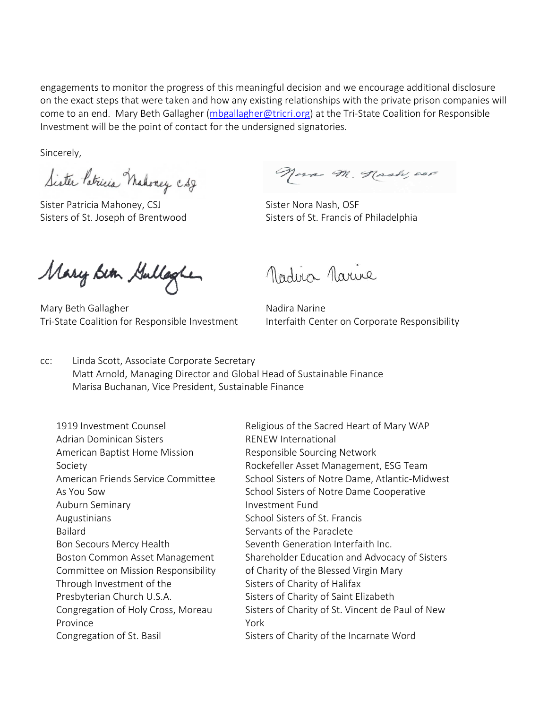engagements to monitor the progress of this meaningful decision and we encourage additional disclosure on the exact steps that were taken and how any existing relationships with the private prison companies will come to an end. Mary Beth Gallagher [\(mbgallagher@tricri.org\)](mailto:mbgallagher@tricri.org) at the Tri-State Coalition for Responsible Investment will be the point of contact for the undersigned signatories.

Sincerely,

Sister Patricia Mahoney CSJ

Sister Patricia Mahoney, CSJ Sister Nora Nash, OSF

Nora M. Hash, osF

Sisters of St. Joseph of Brentwood Sisters of St. Francis of Philadelphia

Mary Bin Gullagher

Mary Beth Gallagher Nadira Narine Tri-State Coalition for Responsible Investment Interfaith Center on Corporate Responsibility

Madua Narine

cc: Linda Scott, Associate Corporate Secretary Matt Arnold, Managing Director and Global Head of Sustainable Finance Marisa Buchanan, Vice President, Sustainable Finance

1919 Investment Counsel Adrian Dominican Sisters American Baptist Home Mission Society American Friends Service Committee As You Sow Auburn Seminary Augustinians Bailard Bon Secours Mercy Health Boston Common Asset Management Committee on Mission Responsibility Through Investment of the Presbyterian Church U.S.A. Congregation of Holy Cross, Moreau Province Congregation of St. Basil

Religious of the Sacred Heart of Mary WAP RENEW International Responsible Sourcing Network Rockefeller Asset Management, ESG Team School Sisters of Notre Dame, Atlantic-Midwest School Sisters of Notre Dame Cooperative Investment Fund School Sisters of St. Francis Servants of the Paraclete Seventh Generation Interfaith Inc. Shareholder Education and Advocacy of Sisters of Charity of the Blessed Virgin Mary Sisters of Charity of Halifax Sisters of Charity of Saint Elizabeth Sisters of Charity of St. Vincent de Paul of New York Sisters of Charity of the Incarnate Word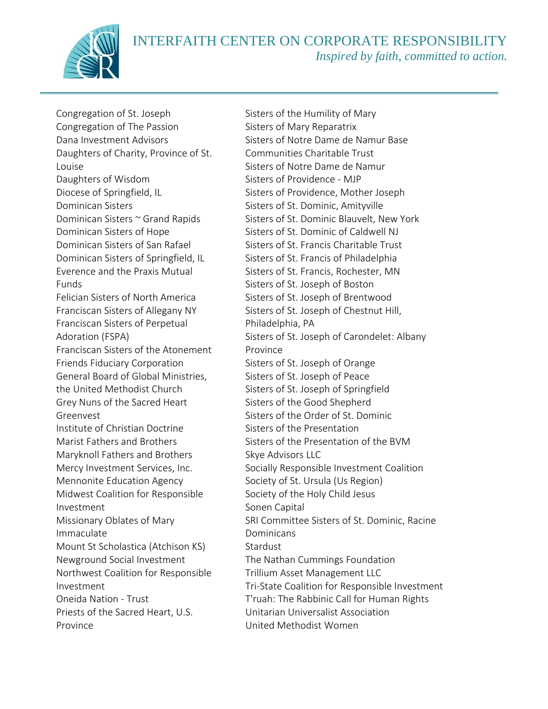INTERFAITH CENTER ON CORPORATE RESPONSIBILITY *Inspired by faith, committed to action.*



Congregation of St. Joseph Congregation of The Passion Dana Investment Advisors Daughters of Charity, Province of St. Louise Daughters of Wisdom Diocese of Springfield, IL Dominican Sisters Dominican Sisters ~ Grand Rapids Dominican Sisters of Hope Dominican Sisters of San Rafael Dominican Sisters of Springfield, IL Everence and the Praxis Mutual Funds Felician Sisters of North America Franciscan Sisters of Allegany NY Franciscan Sisters of Perpetual Adoration (FSPA) Franciscan Sisters of the Atonement Friends Fiduciary Corporation General Board of Global Ministries, the United Methodist Church Grey Nuns of the Sacred Heart Greenvest Institute of Christian Doctrine Marist Fathers and Brothers Maryknoll Fathers and Brothers Mercy Investment Services, Inc. Mennonite Education Agency Midwest Coalition for Responsible Investment Missionary Oblates of Mary Immaculate Mount St Scholastica (Atchison KS) Newground Social Investment Northwest Coalition for Responsible Investment Oneida Nation - Trust Priests of the Sacred Heart, U.S. Province

Sisters of the Humility of Mary Sisters of Mary Reparatrix Sisters of Notre Dame de Namur Base Communities Charitable Trust Sisters of Notre Dame de Namur Sisters of Providence - MJP Sisters of Providence, Mother Joseph Sisters of St. Dominic, Amityville Sisters of St. Dominic Blauvelt, New York Sisters of St. Dominic of Caldwell NJ Sisters of St. Francis Charitable Trust Sisters of St. Francis of Philadelphia Sisters of St. Francis, Rochester, MN Sisters of St. Joseph of Boston Sisters of St. Joseph of Brentwood Sisters of St. Joseph of Chestnut Hill, Philadelphia, PA Sisters of St. Joseph of Carondelet: Albany Province Sisters of St. Joseph of Orange Sisters of St. Joseph of Peace Sisters of St. Joseph of Springfield Sisters of the Good Shepherd Sisters of the Order of St. Dominic Sisters of the Presentation Sisters of the Presentation of the BVM Skye Advisors LLC Socially Responsible Investment Coalition Society of St. Ursula (Us Region) Society of the Holy Child Jesus Sonen Capital SRI Committee Sisters of St. Dominic, Racine Dominicans Stardust The Nathan Cummings Foundation Trillium Asset Management LLC Tri-State Coalition for Responsible Investment T'ruah: The Rabbinic Call for Human Rights Unitarian Universalist Association United Methodist Women